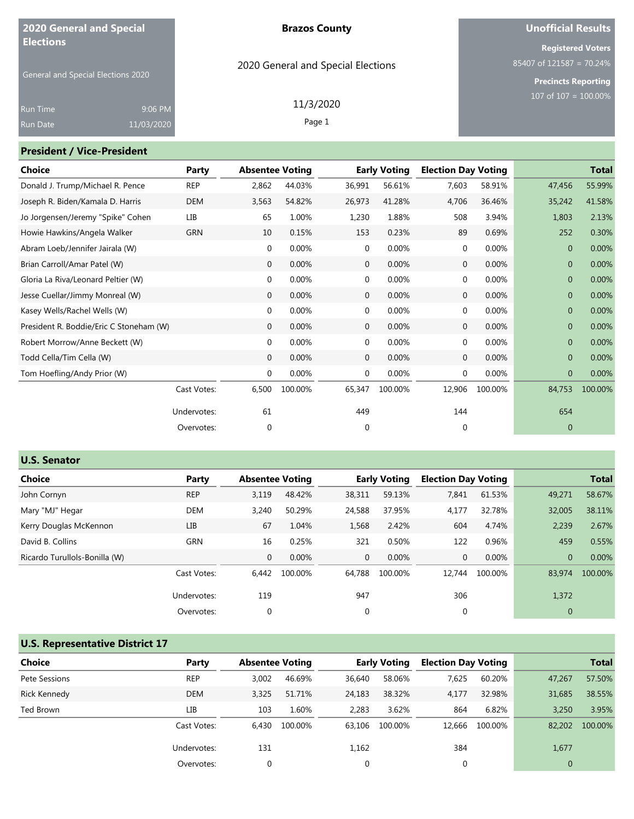| 2020 General and Special                               |                       |       | <b>Brazos County</b>               |                     |                            | <b>Unofficial Results</b>                                                            |
|--------------------------------------------------------|-----------------------|-------|------------------------------------|---------------------|----------------------------|--------------------------------------------------------------------------------------|
| <b>Elections</b><br>General and Special Elections 2020 |                       |       | 2020 General and Special Elections |                     |                            | <b>Registered Voters</b><br>$85407$ of 121587 = 70.24%<br><b>Precincts Reporting</b> |
| <b>Run Time</b><br>Run Date                            | 9:06 PM<br>11/03/2020 |       | 11/3/2020<br>Page 1                |                     |                            | $107$ of $107 = 100.00\%$                                                            |
| <b>President / Vice-President</b>                      |                       |       |                                    |                     |                            |                                                                                      |
| <b>Choice</b>                                          |                       | Party | <b>Absentee Voting</b>             | <b>Early Voting</b> | <b>Election Day Voting</b> | <b>Total</b>                                                                         |

| Donald J. Trump/Michael R. Pence        | <b>REP</b>  | 2,862        | 44.03%   | 36,991       | 56.61%  | 7,603        | 58.91%  | 47,456         | 55.99%  |
|-----------------------------------------|-------------|--------------|----------|--------------|---------|--------------|---------|----------------|---------|
| Joseph R. Biden/Kamala D. Harris        | <b>DEM</b>  | 3,563        | 54.82%   | 26,973       | 41.28%  | 4,706        | 36.46%  | 35,242         | 41.58%  |
| Jo Jorgensen/Jeremy "Spike" Cohen       | LIB         | 65           | 1.00%    | 1,230        | 1.88%   | 508          | 3.94%   | 1,803          | 2.13%   |
| Howie Hawkins/Angela Walker             | <b>GRN</b>  | 10           | 0.15%    | 153          | 0.23%   | 89           | 0.69%   | 252            | 0.30%   |
| Abram Loeb/Jennifer Jairala (W)         |             | 0            | 0.00%    | 0            | 0.00%   | 0            | 0.00%   | $\mathbf{0}$   | 0.00%   |
| Brian Carroll/Amar Patel (W)            |             | $\mathbf{0}$ | 0.00%    | $\mathbf 0$  | 0.00%   | $\mathbf{0}$ | 0.00%   | $\overline{0}$ | 0.00%   |
| Gloria La Riva/Leonard Peltier (W)      |             | $\mathbf 0$  | 0.00%    | 0            | 0.00%   | $\mathbf 0$  | 0.00%   | $\mathbf{0}$   | 0.00%   |
| Jesse Cuellar/Jimmy Monreal (W)         |             | $\mathbf 0$  | 0.00%    | 0            | 0.00%   | $\mathbf 0$  | 0.00%   | $\overline{0}$ | 0.00%   |
| Kasey Wells/Rachel Wells (W)            |             | 0            | 0.00%    | 0            | 0.00%   | 0            | 0.00%   | $\mathbf{0}$   | 0.00%   |
| President R. Boddie/Eric C Stoneham (W) |             | $\mathbf{0}$ | 0.00%    | $\mathbf{0}$ | 0.00%   | $\mathbf 0$  | 0.00%   | $\overline{0}$ | 0.00%   |
| Robert Morrow/Anne Beckett (W)          |             | 0            | 0.00%    | 0            | 0.00%   | 0            | 0.00%   | $\mathbf{0}$   | 0.00%   |
| Todd Cella/Tim Cella (W)                |             | $\mathbf 0$  | 0.00%    | 0            | 0.00%   | 0            | 0.00%   | $\mathbf{0}$   | 0.00%   |
| Tom Hoefling/Andy Prior (W)             |             | $\mathbf 0$  | $0.00\%$ | $\mathbf 0$  | 0.00%   | 0            | 0.00%   | $\mathbf{0}$   | 0.00%   |
|                                         | Cast Votes: | 6,500        | 100.00%  | 65,347       | 100.00% | 12,906       | 100.00% | 84,753         | 100.00% |
|                                         | Undervotes: | 61           |          | 449          |         | 144          |         | 654            |         |
|                                         | Overvotes:  | 0            |          | 0            |         | 0            |         | $\mathbf{0}$   |         |
|                                         |             |              |          |              |         |              |         |                |         |

| <b>U.S. Senator</b>           |             |              |                        |              |                     |                            |         |                |              |
|-------------------------------|-------------|--------------|------------------------|--------------|---------------------|----------------------------|---------|----------------|--------------|
| Choice                        | Party       |              | <b>Absentee Voting</b> |              | <b>Early Voting</b> | <b>Election Day Voting</b> |         |                | <b>Total</b> |
| John Cornyn                   | <b>REP</b>  | 3,119        | 48.42%                 | 38,311       | 59.13%              | 7,841                      | 61.53%  | 49,271         | 58.67%       |
| Mary "MJ" Hegar               | DEM         | 3,240        | 50.29%                 | 24,588       | 37.95%              | 4,177                      | 32.78%  | 32,005         | 38.11%       |
| Kerry Douglas McKennon        | <b>LIB</b>  | 67           | 1.04%                  | 1,568        | 2.42%               | 604                        | 4.74%   | 2,239          | 2.67%        |
| David B. Collins              | GRN         | 16           | 0.25%                  | 321          | 0.50%               | 122                        | 0.96%   | 459            | 0.55%        |
| Ricardo Turullols-Bonilla (W) |             | $\mathbf{0}$ | 0.00%                  | $\mathbf{0}$ | 0.00%               | $\mathbf{0}$               | 0.00%   | $\overline{0}$ | 0.00%        |
|                               | Cast Votes: | 6.442        | 100.00%                | 64.788       | 100.00%             | 12,744                     | 100.00% | 83,974         | 100.00%      |
|                               | Undervotes: | 119          |                        | 947          |                     | 306                        |         | 1,372          |              |
|                               | Overvotes:  | $\mathbf 0$  |                        |              |                     | $\mathbf 0$                |         | $\mathbf{0}$   |              |

# **U.S. Representative District 17**

| <b>Choice</b> | Party       | <b>Absentee Voting</b> |         |             | <b>Early Voting</b> | <b>Election Day Voting</b> |         |              | <b>Total</b> |
|---------------|-------------|------------------------|---------|-------------|---------------------|----------------------------|---------|--------------|--------------|
| Pete Sessions | <b>REP</b>  | 3.002                  | 46.69%  | 36,640      | 58.06%              | 7,625                      | 60.20%  | 47,267       | 57.50%       |
| Rick Kennedy  | <b>DEM</b>  | 3.325                  | 51.71%  | 24,183      | 38.32%              | 4,177                      | 32.98%  | 31,685       | 38.55%       |
| Ted Brown     | LIB         | 103                    | 1.60%   | 2,283       | 3.62%               | 864                        | 6.82%   | 3,250        | 3.95%        |
|               | Cast Votes: | 6.430                  | 100.00% | 63.106      | 100.00%             | 12,666                     | 100.00% | 82,202       | 100.00%      |
|               | Undervotes: | 131                    |         | 1,162       |                     | 384                        |         | 1,677        |              |
|               | Overvotes:  | 0                      |         | $\mathbf 0$ |                     | 0                          |         | $\mathbf{0}$ |              |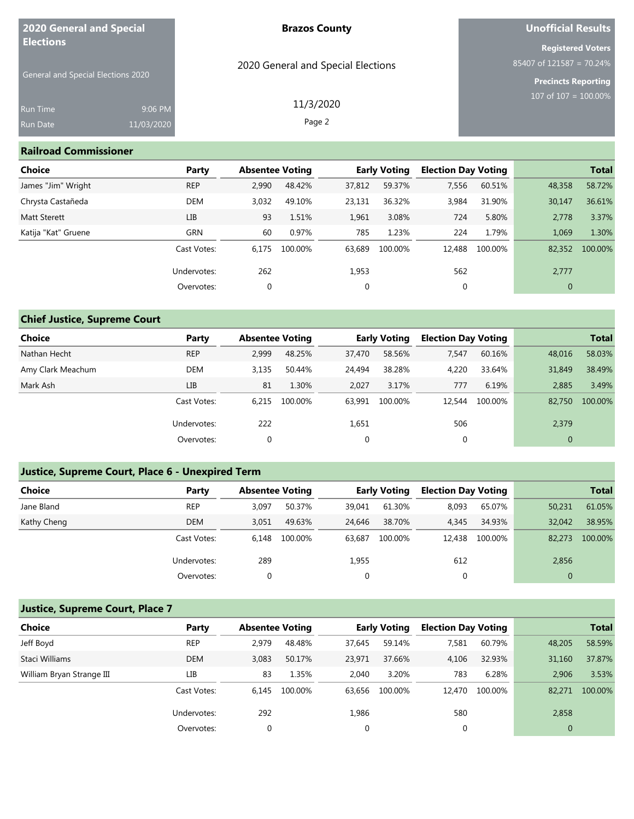| <b>2020 General and Special</b><br><b>Elections</b> |            | <b>Brazos County</b>               | <b>Unofficial Results</b>                              |
|-----------------------------------------------------|------------|------------------------------------|--------------------------------------------------------|
|                                                     |            |                                    | <b>Registered Voters</b><br>$85407$ of 121587 = 70.24% |
| General and Special Elections 2020                  |            | 2020 General and Special Elections | <b>Precincts Reporting</b>                             |
| <b>Run Time</b>                                     | 9:06 PM    | 11/3/2020                          | 107 of $107 = 100.00\%$                                |
| Run Date                                            | 11/03/2020 | Page 2                             |                                                        |

#### **Railroad Commissioner**

| Choice              | Party       | <b>Absentee Voting</b> |         |             | <b>Early Voting</b> | <b>Election Day Voting</b> |         |              | <b>Total</b> |
|---------------------|-------------|------------------------|---------|-------------|---------------------|----------------------------|---------|--------------|--------------|
| James "Jim" Wright  | <b>REP</b>  | 2,990                  | 48.42%  | 37,812      | 59.37%              | 7,556                      | 60.51%  | 48,358       | 58.72%       |
| Chrysta Castañeda   | DEM         | 3.032                  | 49.10%  | 23,131      | 36.32%              | 3,984                      | 31.90%  | 30,147       | 36.61%       |
| <b>Matt Sterett</b> | LIB         | 93                     | 1.51%   | 1,961       | 3.08%               | 724                        | 5.80%   | 2,778        | 3.37%        |
| Katija "Kat" Gruene | GRN         | 60                     | 0.97%   | 785         | 1.23%               | 224                        | 1.79%   | 1,069        | 1.30%        |
|                     | Cast Votes: | 6.175                  | 100.00% | 63,689      | 100.00%             | 12,488                     | 100.00% | 82,352       | 100.00%      |
|                     | Undervotes: | 262                    |         | 1,953       |                     | 562                        |         | 2,777        |              |
|                     | Overvotes:  | $\mathbf 0$            |         | $\mathbf 0$ |                     | 0                          |         | $\mathbf{0}$ |              |

## **Chief Justice, Supreme Court**

| <b>Choice</b>     | Party       | <b>Absentee Voting</b> |         |             | <b>Early Voting</b> | <b>Election Day Voting</b> |         |              | <b>Total</b> |
|-------------------|-------------|------------------------|---------|-------------|---------------------|----------------------------|---------|--------------|--------------|
| Nathan Hecht      | <b>REP</b>  | 2,999                  | 48.25%  | 37,470      | 58.56%              | 7,547                      | 60.16%  | 48,016       | 58.03%       |
| Amy Clark Meachum | <b>DEM</b>  | 3.135                  | 50.44%  | 24,494      | 38.28%              | 4,220                      | 33.64%  | 31,849       | 38.49%       |
| Mark Ash          | LIB         | 81                     | 1.30%   | 2.027       | 3.17%               | 777                        | 6.19%   | 2.885        | 3.49%        |
|                   | Cast Votes: | 6.215                  | 100.00% | 63.991      | 100.00%             | 12,544                     | 100.00% | 82,750       | 100.00%      |
|                   | Undervotes: | 222                    |         | 1,651       |                     | 506                        |         | 2,379        |              |
|                   | Overvotes:  | 0                      |         | $\mathbf 0$ |                     | 0                          |         | $\mathbf{0}$ |              |

### **Justice, Supreme Court, Place 6 - Unexpired Term**

| <b>Choice</b> | Party       | <b>Absentee Voting</b> |         |        | <b>Early Voting</b> | <b>Election Day Voting</b> |         |              | <b>Total</b> |
|---------------|-------------|------------------------|---------|--------|---------------------|----------------------------|---------|--------------|--------------|
| Jane Bland    | <b>REP</b>  | 3,097                  | 50.37%  | 39,041 | 61.30%              | 8,093                      | 65.07%  | 50,231       | 61.05%       |
| Kathy Cheng   | <b>DEM</b>  | 3.051                  | 49.63%  | 24,646 | 38.70%              | 4,345                      | 34.93%  | 32.042       | 38.95%       |
|               | Cast Votes: | 6.148                  | 100.00% | 63.687 | 100.00%             | 12,438                     | 100.00% | 82,273       | 100.00%      |
|               | Undervotes: | 289                    |         | 1,955  |                     | 612                        |         | 2,856        |              |
|               | Overvotes:  | 0                      |         | 0      |                     | 0                          |         | $\mathbf{0}$ |              |

### **Justice, Supreme Court, Place 7**

| <b>Choice</b>             | Party       | <b>Absentee Voting</b> |         |        | <b>Early Voting</b> | <b>Election Day Voting</b> |         |                | <b>Total</b> |
|---------------------------|-------------|------------------------|---------|--------|---------------------|----------------------------|---------|----------------|--------------|
| Jeff Boyd                 | <b>REP</b>  | 2.979                  | 48.48%  | 37.645 | 59.14%              | 7,581                      | 60.79%  | 48,205         | 58.59%       |
| Staci Williams            | <b>DEM</b>  | 3,083                  | 50.17%  | 23.971 | 37.66%              | 4,106                      | 32.93%  | 31,160         | 37.87%       |
| William Bryan Strange III | LІВ         | 83                     | 1.35%   | 2,040  | 3.20%               | 783                        | 6.28%   | 2,906          | 3.53%        |
|                           | Cast Votes: | 6.145                  | 100.00% | 63.656 | 100.00%             | 12,470                     | 100.00% | 82,271         | 100.00%      |
|                           | Undervotes: | 292                    |         | 1,986  |                     | 580                        |         | 2,858          |              |
|                           | Overvotes:  | 0                      |         | 0      |                     | 0                          |         | $\overline{0}$ |              |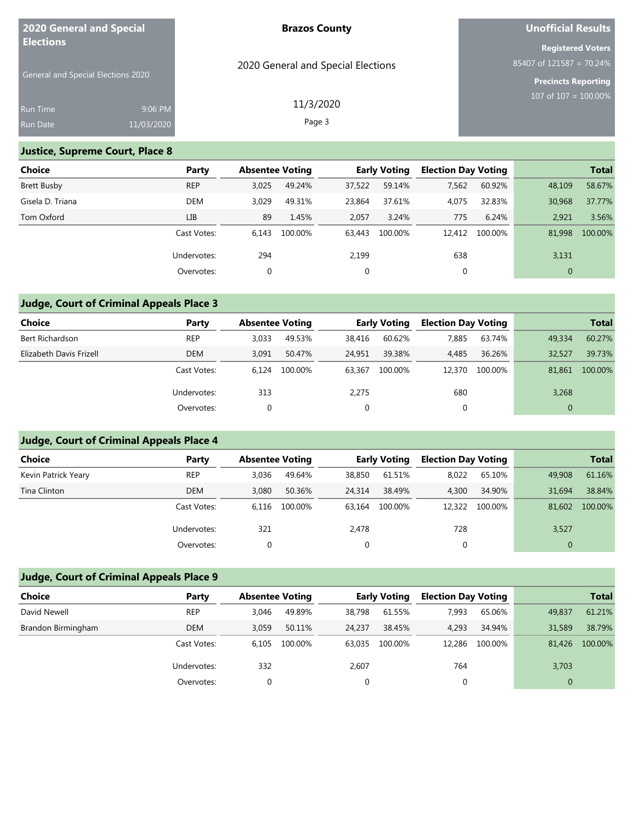| <b>2020 General and Special</b><br><b>Elections</b> |            | <b>Brazos County</b>               | <b>Unofficial Results</b>                              |
|-----------------------------------------------------|------------|------------------------------------|--------------------------------------------------------|
|                                                     |            |                                    | <b>Registered Voters</b><br>$85407$ of 121587 = 70.24% |
| General and Special Elections 2020                  |            | 2020 General and Special Elections | <b>Precincts Reporting</b>                             |
| <b>Run Time</b>                                     | 9:06 PM    | 11/3/2020                          | 107 of $107 = 100.00\%$                                |
| <b>Run Date</b>                                     | 11/03/2020 | Page 3                             |                                                        |

### **Justice, Supreme Court, Place 8**

| <b>Choice</b>      | Party       | <b>Absentee Voting</b> |         |        | <b>Early Voting</b> | <b>Election Day Voting</b> |         |              | <b>Total</b> |
|--------------------|-------------|------------------------|---------|--------|---------------------|----------------------------|---------|--------------|--------------|
| <b>Brett Busby</b> | <b>REP</b>  | 3,025                  | 49.24%  | 37,522 | 59.14%              | 7,562                      | 60.92%  | 48,109       | 58.67%       |
| Gisela D. Triana   | <b>DEM</b>  | 3.029                  | 49.31%  | 23,864 | 37.61%              | 4,075                      | 32.83%  | 30,968       | 37.77%       |
| Tom Oxford         | LIB         | 89                     | 1.45%   | 2,057  | 3.24%               | 775                        | 6.24%   | 2,921        | 3.56%        |
|                    | Cast Votes: | 6.143                  | 100.00% | 63,443 | 100.00%             | 12,412                     | 100.00% | 81,998       | 100.00%      |
|                    | Undervotes: | 294                    |         | 2,199  |                     | 638                        |         | 3,131        |              |
|                    | Overvotes:  | 0                      |         | 0      |                     | 0                          |         | $\mathbf{0}$ |              |

### **Judge, Court of Criminal Appeals Place 3**

| Choice                  | Party       | <b>Absentee Voting</b> |         |        | <b>Early Voting</b> | <b>Election Day Voting</b> |         |              | <b>Total</b> |
|-------------------------|-------------|------------------------|---------|--------|---------------------|----------------------------|---------|--------------|--------------|
| Bert Richardson         | <b>REP</b>  | 3.033                  | 49.53%  | 38,416 | 60.62%              | 7.885                      | 63.74%  | 49,334       | 60.27%       |
| Elizabeth Davis Frizell | <b>DEM</b>  | 3.091                  | 50.47%  | 24.951 | 39.38%              | 4,485                      | 36.26%  | 32,527       | 39.73%       |
|                         | Cast Votes: | 6.124                  | 100.00% | 63.367 | 100.00%             | 12,370                     | 100.00% | 81.861       | 100.00%      |
|                         | Undervotes: | 313                    |         | 2,275  |                     | 680                        |         | 3,268        |              |
|                         | Overvotes:  | 0                      |         | 0      |                     | 0                          |         | $\mathbf{0}$ |              |

## **Judge, Court of Criminal Appeals Place 4**

| <b>Choice</b>       | Party       | <b>Absentee Voting</b> |         |        | <b>Early Voting</b> | <b>Election Day Voting</b> |         |              | <b>Total</b> |
|---------------------|-------------|------------------------|---------|--------|---------------------|----------------------------|---------|--------------|--------------|
| Kevin Patrick Yeary | <b>REP</b>  | 3,036                  | 49.64%  | 38,850 | 61.51%              | 8,022                      | 65.10%  | 49,908       | 61.16%       |
| Tina Clinton        | <b>DEM</b>  | 3.080                  | 50.36%  | 24,314 | 38.49%              | 4,300                      | 34.90%  | 31.694       | 38.84%       |
|                     | Cast Votes: | 6.116                  | 100.00% | 63.164 | 100.00%             | 12,322                     | 100.00% | 81,602       | 100.00%      |
|                     | Undervotes: | 321                    |         | 2,478  |                     | 728                        |         | 3,527        |              |
|                     | Overvotes:  | 0                      |         | 0      |                     | 0                          |         | $\mathbf{0}$ |              |

## **Judge, Court of Criminal Appeals Place 9**

| <b>Choice</b>      | Party       | <b>Absentee Voting</b> |         |        | <b>Early Voting</b> | <b>Election Day Voting</b> |         |        | <b>Total</b> |
|--------------------|-------------|------------------------|---------|--------|---------------------|----------------------------|---------|--------|--------------|
| David Newell       | <b>REP</b>  | 3.046                  | 49.89%  | 38,798 | 61.55%              | 7.993                      | 65.06%  | 49,837 | 61.21%       |
| Brandon Birmingham | <b>DEM</b>  | 3.059                  | 50.11%  | 24.237 | 38.45%              | 4.293                      | 34.94%  | 31,589 | 38.79%       |
|                    | Cast Votes: | 6.105                  | 100.00% | 63.035 | 100.00%             | 12,286                     | 100.00% | 81,426 | 100.00%      |
|                    | Undervotes: | 332                    |         | 2,607  |                     | 764                        |         | 3,703  |              |
|                    | Overvotes:  |                        |         | 0      |                     |                            |         |        |              |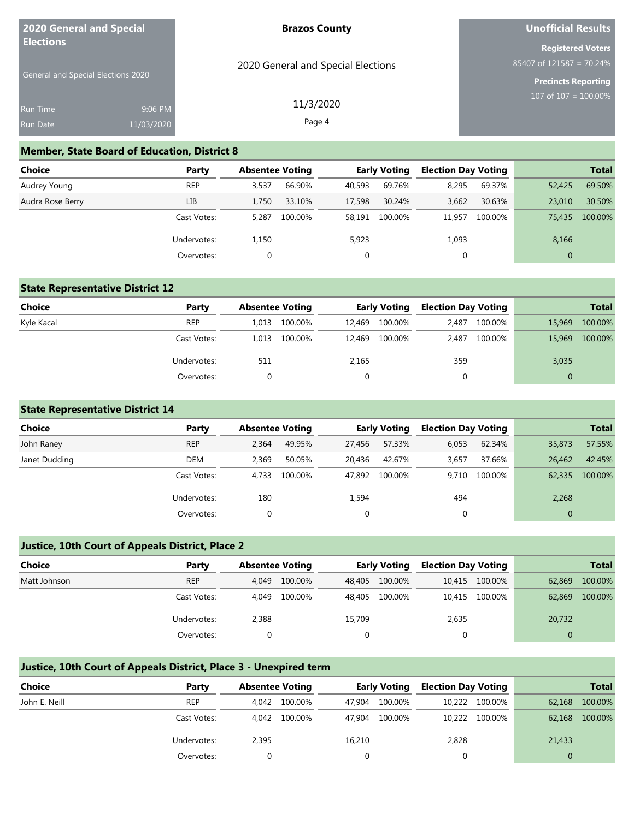| 2020 General and Special           | <b>Brazos County</b>               | Unofficial Results                                     |
|------------------------------------|------------------------------------|--------------------------------------------------------|
| <b>Elections</b>                   | 2020 General and Special Elections | <b>Registered Voters</b><br>$85407$ of 121587 = 70.24% |
| General and Special Elections 2020 |                                    | <b>Precincts Reporting</b><br>107 of $107 = 100.00\%$  |
| <b>Run Time</b><br>9:06 PM         | 11/3/2020                          |                                                        |
| 11/03/2020<br><b>Run Date</b>      | Page 4                             |                                                        |

#### **Member, State Board of Education, District 8**

| Choice           | Party       | <b>Absentee Voting</b> |         |        | <b>Early Voting</b> | <b>Election Day Voting</b> |         |              | <b>Total</b> |
|------------------|-------------|------------------------|---------|--------|---------------------|----------------------------|---------|--------------|--------------|
| Audrey Young     | <b>REP</b>  | 3.537                  | 66.90%  | 40,593 | 69.76%              | 8,295                      | 69.37%  | 52,425       | 69.50%       |
| Audra Rose Berry | LIB         | 1.750                  | 33.10%  | 17,598 | 30.24%              | 3,662                      | 30.63%  | 23,010       | 30.50%       |
|                  | Cast Votes: | 5.287                  | 100.00% | 58.191 | 100.00%             | 11.957                     | 100.00% | 75,435       | 100.00%      |
|                  | Undervotes: | 1,150                  |         | 5,923  |                     | 1,093                      |         | 8,166        |              |
|                  | Overvotes:  | 0                      |         |        |                     | 0                          |         | $\mathbf{0}$ |              |

### **State Representative District 12**

| <b>Choice</b> | Party       | <b>Absentee Voting</b> |         |        | <b>Early Voting</b> | <b>Election Day Voting</b> |         |              | <b>Total</b> |
|---------------|-------------|------------------------|---------|--------|---------------------|----------------------------|---------|--------------|--------------|
| Kyle Kacal    | <b>REP</b>  | 1.013                  | 100.00% | 12.469 | 100.00%             | 2.487                      | 100.00% | 15,969       | 100.00%      |
|               | Cast Votes: | 1.013                  | 100.00% | 12.469 | 100.00%             | 2.487                      | 100.00% | 15,969       | 100.00%      |
|               | Undervotes: | 511                    |         | 2,165  |                     | 359                        |         | 3,035        |              |
|               | Overvotes:  |                        |         |        |                     | 0                          |         | $\mathbf{0}$ |              |

### **State Representative District 14**

| Choice        | Party       | <b>Absentee Voting</b> |         |        | <b>Early Voting</b> | <b>Election Day Voting</b> |         |              | <b>Total</b> |
|---------------|-------------|------------------------|---------|--------|---------------------|----------------------------|---------|--------------|--------------|
| John Raney    | <b>REP</b>  | 2,364                  | 49.95%  | 27,456 | 57.33%              | 6,053                      | 62.34%  | 35,873       | 57.55%       |
| Janet Dudding | DEM         | 2,369                  | 50.05%  | 20,436 | 42.67%              | 3,657                      | 37.66%  | 26.462       | 42.45%       |
|               | Cast Votes: | 4.733                  | 100.00% | 47.892 | 100.00%             | 9.710                      | 100.00% | 62,335       | 100.00%      |
|               | Undervotes: | 180                    |         | 1,594  |                     | 494                        |         | 2,268        |              |
|               | Overvotes:  |                        |         | 0      |                     | 0                          |         | $\mathbf{0}$ |              |

### **Justice, 10th Court of Appeals District, Place 2**

| <b>Choice</b> | Party       |       | <b>Absentee Voting</b> |        | <b>Early Voting</b> |       | <b>Election Day Voting</b> |          | <b>Total</b> |
|---------------|-------------|-------|------------------------|--------|---------------------|-------|----------------------------|----------|--------------|
| Matt Johnson  | <b>REP</b>  | 4.049 | 100.00%                | 48,405 | 100.00%             |       | 10,415 100.00%             | 62.869   | 100.00%      |
|               | Cast Votes: | 4.049 | 100.00%                | 48.405 | 100.00%             |       | 10,415 100.00%             | 62,869   | 100.00%      |
|               | Undervotes: | 2,388 |                        | 15,709 |                     | 2,635 |                            | 20,732   |              |
|               | Overvotes:  |       |                        |        |                     |       |                            | $\Omega$ |              |

### **Justice, 10th Court of Appeals District, Place 3 - Unexpired term**

| <b>Choice</b> | Party       | <b>Absentee Voting</b> |         |        | <b>Early Voting</b> | <b>Election Day Voting</b> |                |        | <b>Total</b> |
|---------------|-------------|------------------------|---------|--------|---------------------|----------------------------|----------------|--------|--------------|
| John E. Neill | <b>REP</b>  | 4.042                  | 100.00% | 47.904 | 100.00%             |                            | 10,222 100.00% | 62,168 | 100.00%      |
|               | Cast Votes: | 4.042                  | 100.00% | 47.904 | 100.00%             |                            | 10,222 100.00% | 62,168 | 100.00%      |
|               | Undervotes: | 2,395                  |         | 16,210 |                     | 2,828                      |                | 21,433 |              |
|               | Overvotes:  |                        |         |        |                     |                            |                |        |              |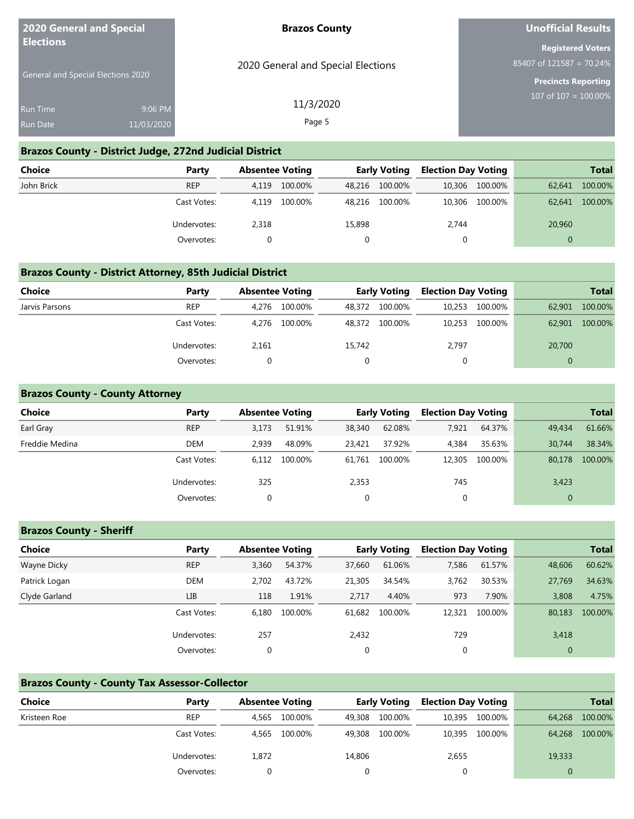| <b>2020 General and Special</b><br><b>Elections</b> |                       | <b>Brazos County</b>               | <b>Unofficial Results</b>                                      |
|-----------------------------------------------------|-----------------------|------------------------------------|----------------------------------------------------------------|
| <b>General and Special Elections 2020</b>           |                       | 2020 General and Special Elections | <b>Registered Voters</b><br>85407 of 121587 = 70.24%           |
| <b>Run Time</b><br>Run Date                         | 9:06 PM<br>11/03/2020 | 11/3/2020<br>Page 5                | <b>Precincts Reporting</b><br>$107 \text{ of } 107 = 100.00\%$ |
|                                                     |                       |                                    |                                                                |

#### **Brazos County - District Judge, 272nd Judicial District**

| <b>Choice</b> | Party       | <b>Absentee Voting</b> |         |        | <b>Early Voting</b> | <b>Election Day Voting</b> |                |          | <b>Total</b> |
|---------------|-------------|------------------------|---------|--------|---------------------|----------------------------|----------------|----------|--------------|
| John Brick    | <b>REP</b>  | 4.119                  | 100.00% |        | 48,216 100.00%      |                            | 10,306 100.00% | 62.641   | 100.00%      |
|               | Cast Votes: | 4.119                  | 100.00% |        | 48,216 100.00%      |                            | 10,306 100.00% | 62.641   | 100.00%      |
|               | Undervotes: | 2,318                  |         | 15,898 |                     | 2,744                      |                | 20,960   |              |
|               | Overvotes:  |                        |         |        |                     | 0                          |                | $\Omega$ |              |

### **Brazos County - District Attorney, 85th Judicial District**

| Choice         | Party       |       | <b>Absentee Voting</b> |        | <b>Early Voting</b> | <b>Election Day Voting</b> |         |        | <b>Total</b> |
|----------------|-------------|-------|------------------------|--------|---------------------|----------------------------|---------|--------|--------------|
| Jarvis Parsons | <b>REP</b>  | 4.276 | 100.00%                | 48.372 | 100.00%             | 10,253                     | 100.00% | 62,901 | 100.00%      |
|                | Cast Votes: | 4.276 | 100.00%                | 48,372 | 100.00%             | 10,253                     | 100.00% | 62,901 | 100.00%      |
|                | Undervotes: | 2,161 |                        | 15,742 |                     | 2,797                      |         | 20,700 |              |
|                | Overvotes:  |       |                        |        |                     |                            |         |        |              |

### **Brazos County - County Attorney**

| <b>Choice</b>  | Party       | <b>Absentee Voting</b> |         |        | <b>Early Voting</b> | <b>Election Day Voting</b> |         |              | <b>Total</b> |
|----------------|-------------|------------------------|---------|--------|---------------------|----------------------------|---------|--------------|--------------|
| Earl Gray      | <b>REP</b>  | 3,173                  | 51.91%  | 38,340 | 62.08%              | 7,921                      | 64.37%  | 49,434       | 61.66%       |
| Freddie Medina | DEM         | 2.939                  | 48.09%  | 23.421 | 37.92%              | 4.384                      | 35.63%  | 30.744       | 38.34%       |
|                | Cast Votes: | 6.112                  | 100.00% | 61.761 | 100.00%             | 12,305                     | 100.00% | 80,178       | 100.00%      |
|                | Undervotes: | 325                    |         | 2,353  |                     | 745                        |         | 3,423        |              |
|                | Overvotes:  |                        |         | 0      |                     | 0                          |         | $\mathbf{0}$ |              |

### **Brazos County - Sheriff**

| <b>Choice</b> | Party       | <b>Absentee Voting</b> |         |             | <b>Early Voting</b> | <b>Election Day Voting</b> |         |          | <b>Total</b> |
|---------------|-------------|------------------------|---------|-------------|---------------------|----------------------------|---------|----------|--------------|
| Wayne Dicky   | <b>REP</b>  | 3,360                  | 54.37%  | 37.660      | 61.06%              | 7,586                      | 61.57%  | 48,606   | 60.62%       |
| Patrick Logan | DEM         | 2.702                  | 43.72%  | 21,305      | 34.54%              | 3,762                      | 30.53%  | 27,769   | 34.63%       |
| Clyde Garland | LIB         | 118                    | 1.91%   | 2.717       | 4.40%               | 973                        | 7.90%   | 3,808    | 4.75%        |
|               | Cast Votes: | 6.180                  | 100.00% | 61.682      | 100.00%             | 12,321                     | 100.00% | 80,183   | 100.00%      |
|               | Undervotes: | 257                    |         | 2,432       |                     | 729                        |         | 3,418    |              |
|               | Overvotes:  | 0                      |         | $\mathbf 0$ |                     | 0                          |         | $\theta$ |              |

### **Brazos County - County Tax Assessor-Collector**

| <b>Choice</b> | Party       | <b>Absentee Voting</b> |         |        | <b>Early Voting</b> | <b>Election Day Voting</b> |                |        | <b>Total</b> |
|---------------|-------------|------------------------|---------|--------|---------------------|----------------------------|----------------|--------|--------------|
| Kristeen Roe  | <b>REP</b>  | 4.565                  | 100.00% | 49.308 | 100.00%             | 10,395                     | 100.00%        | 64,268 | 100.00%      |
|               | Cast Votes: | 4.565                  | 100.00% | 49,308 | 100.00%             |                            | 10,395 100.00% | 64,268 | 100.00%      |
|               | Undervotes: | 1,872                  |         | 14,806 |                     | 2,655                      |                | 19,333 |              |
|               | Overvotes:  |                        |         |        |                     |                            |                |        |              |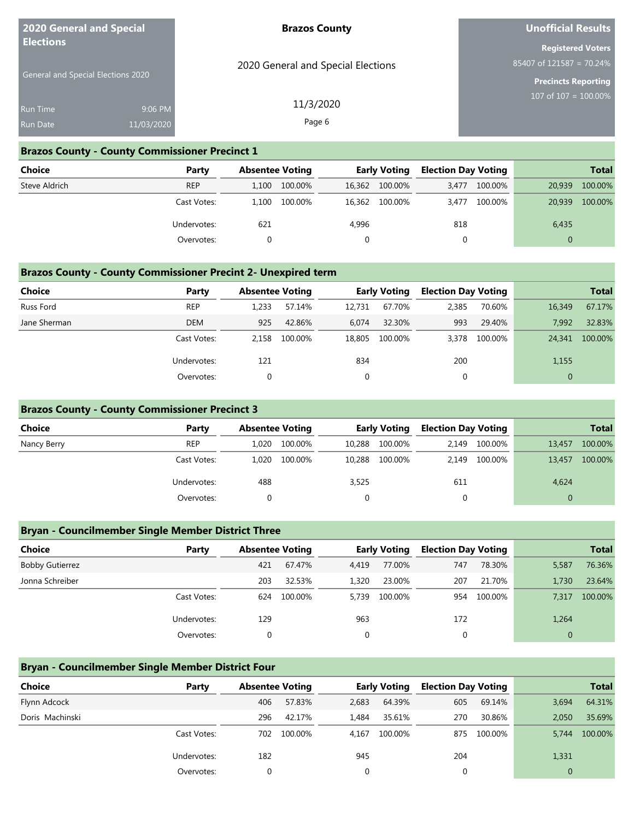| <b>2020 General and Special</b><br><b>Elections</b> |            | <b>Brazos County</b>               | <b>Unofficial Results</b>                               |
|-----------------------------------------------------|------------|------------------------------------|---------------------------------------------------------|
|                                                     |            | 2020 General and Special Elections | <b>Registered Voters</b><br>85407 of 121587 = 70.24%    |
| <b>General and Special Elections 2020</b>           |            |                                    | <b>Precincts Reporting</b><br>$107$ of $107 = 100.00\%$ |
| <b>Run Time</b>                                     | 9:06 PM    | 11/3/2020                          |                                                         |
| Run Date                                            | 11/03/2020 | Page 6                             |                                                         |
|                                                     |            |                                    |                                                         |

#### **Brazos County - County Commissioner Precinct 1**

| Choice        | Party       | <b>Absentee Voting</b> |         |        | <b>Early Voting</b> | <b>Election Day Voting</b> |         |          | <b>Total</b> |
|---------------|-------------|------------------------|---------|--------|---------------------|----------------------------|---------|----------|--------------|
| Steve Aldrich | <b>REP</b>  | 1.100                  | 100.00% | 16,362 | 100.00%             | 3.477                      | 100.00% | 20,939   | 100.00%      |
|               | Cast Votes: | 1.100                  | 100.00% | 16,362 | 100.00%             | 3.477                      | 100.00% | 20.939   | 100.00%      |
|               | Undervotes: | 621                    |         | 4,996  |                     | 818                        |         | 6,435    |              |
|               | Overvotes:  |                        |         |        |                     |                            |         | $\Omega$ |              |

### **Brazos County - County Commissioner Precint 2- Unexpired term**

| <b>Choice</b> | Party       | <b>Absentee Voting</b> |         |        | <b>Early Voting</b> | <b>Election Day Voting</b> |         |              | <b>Total</b> |
|---------------|-------------|------------------------|---------|--------|---------------------|----------------------------|---------|--------------|--------------|
| Russ Ford     | <b>REP</b>  | 1,233                  | 57.14%  | 12.731 | 67.70%              | 2,385                      | 70.60%  | 16,349       | 67.17%       |
| Jane Sherman  | <b>DEM</b>  | 925                    | 42.86%  | 6.074  | 32.30%              | 993                        | 29.40%  | 7.992        | 32.83%       |
|               | Cast Votes: | 2.158                  | 100.00% | 18,805 | 100.00%             | 3,378                      | 100.00% | 24,341       | 100.00%      |
|               | Undervotes: | 121                    |         | 834    |                     | 200                        |         | 1,155        |              |
|               | Overvotes:  |                        |         | 0      |                     | 0                          |         | $\mathbf{0}$ |              |

### **Brazos County - County Commissioner Precinct 3**

| <b>Choice</b> | Party       | <b>Absentee Voting</b> |         |        | <b>Early Voting</b> | <b>Election Day Voting</b> |         |        | <b>Total</b> |
|---------------|-------------|------------------------|---------|--------|---------------------|----------------------------|---------|--------|--------------|
| Nancy Berry   | <b>REP</b>  | 1.020                  | 100.00% | 10,288 | 100.00%             | 2.149                      | 100.00% | 13,457 | 100.00%      |
|               | Cast Votes: | 1.020                  | 100.00% | 10,288 | 100.00%             | 2,149                      | 100.00% | 13,457 | 100.00%      |
|               | Undervotes: | 488                    |         | 3,525  |                     | 611                        |         | 4,624  |              |
|               | Overvotes:  |                        |         |        |                     |                            |         |        |              |

### **Bryan - Councilmember Single Member District Three**

| <b>Choice</b>          | Party       | <b>Absentee Voting</b> | <b>Early Voting</b> |       |         | <b>Election Day Voting</b> |         |              | <b>Total</b> |
|------------------------|-------------|------------------------|---------------------|-------|---------|----------------------------|---------|--------------|--------------|
| <b>Bobby Gutierrez</b> |             | 421                    | 67.47%              | 4,419 | 77.00%  | 747                        | 78.30%  | 5,587        | 76.36%       |
| Jonna Schreiber        |             | 203                    | 32.53%              | 1,320 | 23.00%  | 207                        | 21.70%  | 1.730        | 23.64%       |
|                        | Cast Votes: | 624                    | 100.00%             | 5.739 | 100.00% | 954                        | 100.00% | 7,317        | 100.00%      |
|                        | Undervotes: | 129                    |                     | 963   |         | 172                        |         | 1,264        |              |
|                        | Overvotes:  |                        |                     | 0     |         | 0                          |         | $\mathbf{0}$ |              |

### **Bryan - Councilmember Single Member District Four**

| <b>Choice</b>   | Party       | <b>Absentee Voting</b> |         | <b>Early Voting</b> |         | <b>Election Day Voting</b> |         |              | <b>Total</b> |
|-----------------|-------------|------------------------|---------|---------------------|---------|----------------------------|---------|--------------|--------------|
| Flynn Adcock    |             | 406                    | 57.83%  | 2,683               | 64.39%  | 605                        | 69.14%  | 3,694        | 64.31%       |
| Doris Machinski |             | 296                    | 42.17%  | 1.484               | 35.61%  | 270                        | 30.86%  | 2.050        | 35.69%       |
|                 | Cast Votes: | 702                    | 100.00% | 4.167               | 100.00% | 875                        | 100.00% | 5.744        | 100.00%      |
|                 | Undervotes: | 182                    |         | 945                 |         | 204                        |         | 1,331        |              |
|                 | Overvotes:  |                        |         |                     |         | 0                          |         | $\mathbf{0}$ |              |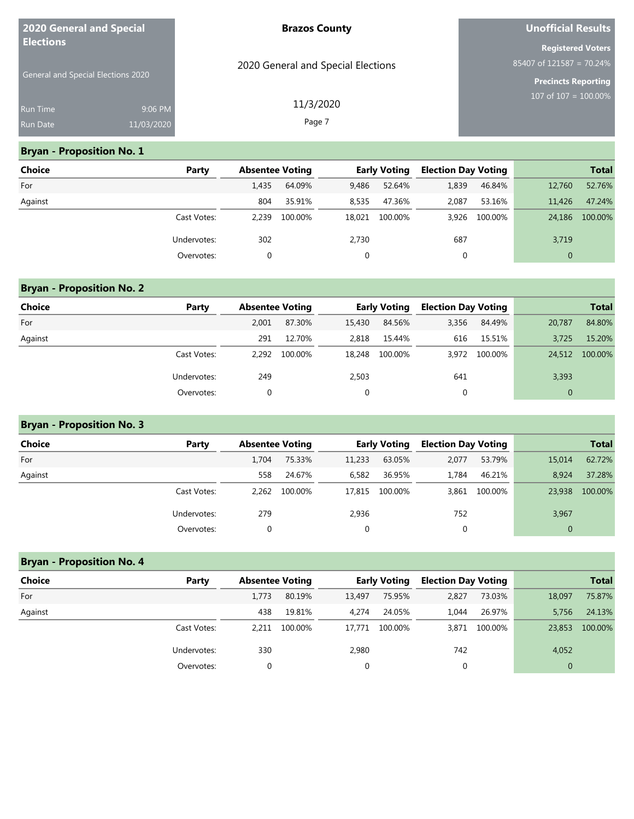| <b>2020 General and Special</b><br><b>Elections</b> |            | <b>Brazos County</b>               | Unofficial Results         |  |  |  |
|-----------------------------------------------------|------------|------------------------------------|----------------------------|--|--|--|
|                                                     |            |                                    | <b>Registered Voters</b>   |  |  |  |
|                                                     |            | 2020 General and Special Elections | $85407$ of 121587 = 70.24% |  |  |  |
| <b>General and Special Elections 2020</b>           |            |                                    | <b>Precincts Reporting</b> |  |  |  |
| Run Time                                            | 9:06 PM    | 11/3/2020                          | $107$ of $107 = 100.00\%$  |  |  |  |
| <b>Run Date</b>                                     | 11/03/2020 | Page 7                             |                            |  |  |  |

### **Bryan - Proposition No. 1**

| <b>Choice</b> | Party       | <b>Absentee Voting</b> |         |        | <b>Early Voting</b> | <b>Election Day Voting</b> |         |              | <b>Total</b> |
|---------------|-------------|------------------------|---------|--------|---------------------|----------------------------|---------|--------------|--------------|
| For           |             | 1,435                  | 64.09%  | 9,486  | 52.64%              | 1,839                      | 46.84%  | 12,760       | 52.76%       |
| Against       |             | 804                    | 35.91%  | 8,535  | 47.36%              | 2,087                      | 53.16%  | 11.426       | 47.24%       |
|               | Cast Votes: | 2.239                  | 100.00% | 18.021 | 100.00%             | 3.926                      | 100.00% | 24,186       | 100.00%      |
|               | Undervotes: | 302                    |         | 2,730  |                     | 687                        |         | 3,719        |              |
|               | Overvotes:  | $\Omega$               |         | 0      |                     | 0                          |         | $\mathbf{0}$ |              |

### **Bryan - Proposition No. 2**

| <b>Choice</b> | Party       | <b>Absentee Voting</b> |         |        | <b>Early Voting</b> | <b>Election Day Voting</b> |         |              | <b>Total</b> |
|---------------|-------------|------------------------|---------|--------|---------------------|----------------------------|---------|--------------|--------------|
| For           |             | 2,001                  | 87.30%  | 15,430 | 84.56%              | 3,356                      | 84.49%  | 20,787       | 84.80%       |
| Against       |             | 291                    | 12.70%  | 2.818  | 15.44%              | 616                        | 15.51%  | 3,725        | 15.20%       |
|               | Cast Votes: | 2.292                  | 100.00% | 18,248 | 100.00%             | 3.972                      | 100.00% | 24,512       | 100.00%      |
|               | Undervotes: | 249                    |         | 2,503  |                     | 641                        |         | 3,393        |              |
|               | Overvotes:  |                        |         | 0      |                     | 0                          |         | $\mathbf{0}$ |              |

### **Bryan - Proposition No. 3**

| <b>Choice</b> | Party       | <b>Absentee Voting</b> |         |              | <b>Early Voting</b> | <b>Election Day Voting</b> |               |              | <b>Total</b> |
|---------------|-------------|------------------------|---------|--------------|---------------------|----------------------------|---------------|--------------|--------------|
| For           |             | 1.704                  | 75.33%  | 11,233       | 63.05%              | 2,077                      | 53.79%        | 15,014       | 62.72%       |
| Against       |             | 558                    | 24.67%  | 6,582        | 36.95%              | 1.784                      | 46.21%        | 8.924        | 37.28%       |
|               | Cast Votes: | 2.262                  | 100.00% | 17,815       | 100.00%             |                            | 3,861 100.00% | 23,938       | 100.00%      |
|               | Undervotes: | 279                    |         | 2,936        |                     | 752                        |               | 3,967        |              |
|               | Overvotes:  |                        |         | $\mathbf{0}$ |                     | 0                          |               | $\mathbf{0}$ |              |

# **Bryan - Proposition No. 4 Choice Party Absentee Voting Early Voting Election Day Voting Total** For 1,773 80.19% 13,497 75.95% 2,827 73.03% 18,097 75.87% Against 438 19.81% 4,274 24.05% 1,044 26.97% 5,756 24.13% Cast Votes: 2,211 100.00% 17,771 100.00% 3,871 100.00% 23,853 100.00% Undervotes: 330 2,980 742 4,052 Overvotes: 0 0 0 0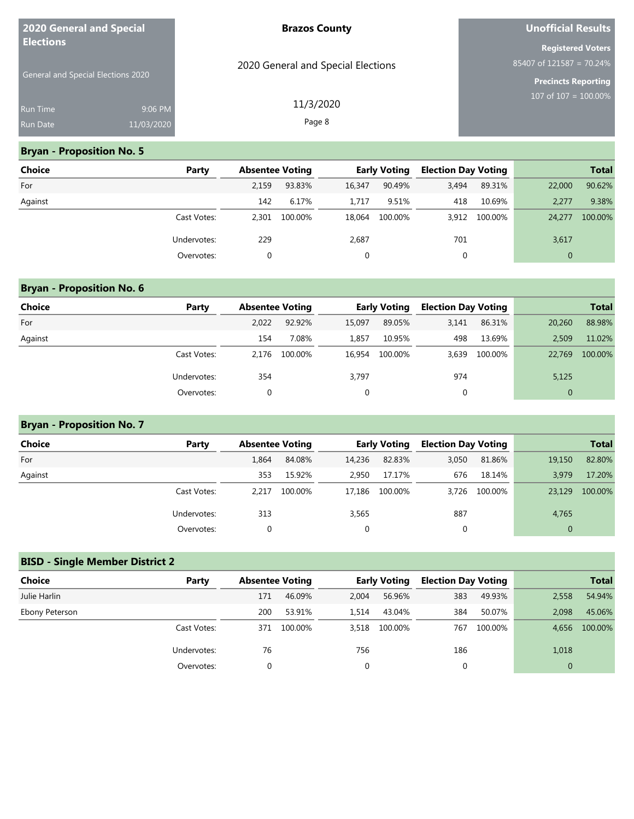| <b>2020 General and Special</b><br><b>Elections</b> |            | <b>Brazos County</b>               | Unofficial Results         |
|-----------------------------------------------------|------------|------------------------------------|----------------------------|
|                                                     |            |                                    | <b>Registered Voters</b>   |
|                                                     |            | 2020 General and Special Elections | $85407$ of 121587 = 70.24% |
| General and Special Elections 2020                  |            |                                    | <b>Precincts Reporting</b> |
| <b>Run Time</b>                                     | 9:06 PM    | 11/3/2020                          | 107 of $107 = 100.00\%$    |
| <b>Run Date</b>                                     | 11/03/2020 | Page 8                             |                            |

### **Bryan - Proposition No. 5**

| <b>Choice</b> | Party       | <b>Absentee Voting</b> |         |        | <b>Early Voting</b> | <b>Election Day Voting</b> |         |              | <b>Total</b> |
|---------------|-------------|------------------------|---------|--------|---------------------|----------------------------|---------|--------------|--------------|
| For           |             | 2,159                  | 93.83%  | 16.347 | 90.49%              | 3,494                      | 89.31%  | 22,000       | 90.62%       |
| Against       |             | 142                    | 6.17%   | 1.717  | 9.51%               | 418                        | 10.69%  | 2,277        | 9.38%        |
|               | Cast Votes: | 2.301                  | 100.00% | 18.064 | 100.00%             | 3,912                      | 100.00% | 24,277       | 100.00%      |
|               | Undervotes: | 229                    |         | 2,687  |                     | 701                        |         | 3,617        |              |
|               | Overvotes:  |                        |         | 0      |                     | 0                          |         | $\mathbf{0}$ |              |

# **Bryan - Proposition No. 6**

| <b>Choice</b> | Party       | <b>Absentee Voting</b> |         |        | <b>Early Voting</b> | <b>Election Day Voting</b> |         |              | <b>Total</b> |
|---------------|-------------|------------------------|---------|--------|---------------------|----------------------------|---------|--------------|--------------|
| For           |             | 2.022                  | 92.92%  | 15.097 | 89.05%              | 3,141                      | 86.31%  | 20,260       | 88.98%       |
| Against       |             | 154                    | 7.08%   | 1.857  | 10.95%              | 498                        | 13.69%  | 2.509        | 11.02%       |
|               | Cast Votes: | 2.176                  | 100.00% | 16.954 | 100.00%             | 3.639                      | 100.00% | 22,769       | 100.00%      |
|               | Undervotes: | 354                    |         | 3,797  |                     | 974                        |         | 5,125        |              |
|               | Overvotes:  |                        |         | 0      |                     | 0                          |         | $\mathbf{0}$ |              |

# **Bryan - Proposition No. 7**

| Choice  | Party       | <b>Absentee Voting</b> |         |        | <b>Early Voting</b> | <b>Election Day Voting</b> |               |              | <b>Total</b> |
|---------|-------------|------------------------|---------|--------|---------------------|----------------------------|---------------|--------------|--------------|
| For     |             | 1.864                  | 84.08%  | 14,236 | 82.83%              | 3,050                      | 81.86%        | 19,150       | 82.80%       |
| Against |             | 353                    | 15.92%  | 2.950  | 17.17%              | 676                        | 18.14%        | 3.979        | 17.20%       |
|         | Cast Votes: | 2.217                  | 100.00% | 17.186 | 100.00%             |                            | 3,726 100.00% | 23,129       | 100.00%      |
|         | Undervotes: | 313                    |         | 3,565  |                     | 887                        |               | 4,765        |              |
|         | Overvotes:  |                        |         | 0      |                     | 0                          |               | $\mathbf{0}$ |              |

# **BISD - Single Member District 2**

| <b>Choice</b>  | Party       | <b>Absentee Voting</b> |         |       | <b>Early Voting</b> | <b>Election Day Voting</b> |         |              | <b>Total</b> |
|----------------|-------------|------------------------|---------|-------|---------------------|----------------------------|---------|--------------|--------------|
| Julie Harlin   |             | 171                    | 46.09%  | 2.004 | 56.96%              | 383                        | 49.93%  | 2,558        | 54.94%       |
| Ebony Peterson |             | 200                    | 53.91%  | 1.514 | 43.04%              | 384                        | 50.07%  | 2.098        | 45.06%       |
|                | Cast Votes: | 371                    | 100.00% | 3,518 | 100.00%             | 767                        | 100.00% | 4,656        | 100.00%      |
|                | Undervotes: | 76                     |         | 756   |                     | 186                        |         | 1,018        |              |
|                | Overvotes:  |                        |         | 0     |                     | 0                          |         | $\mathbf{0}$ |              |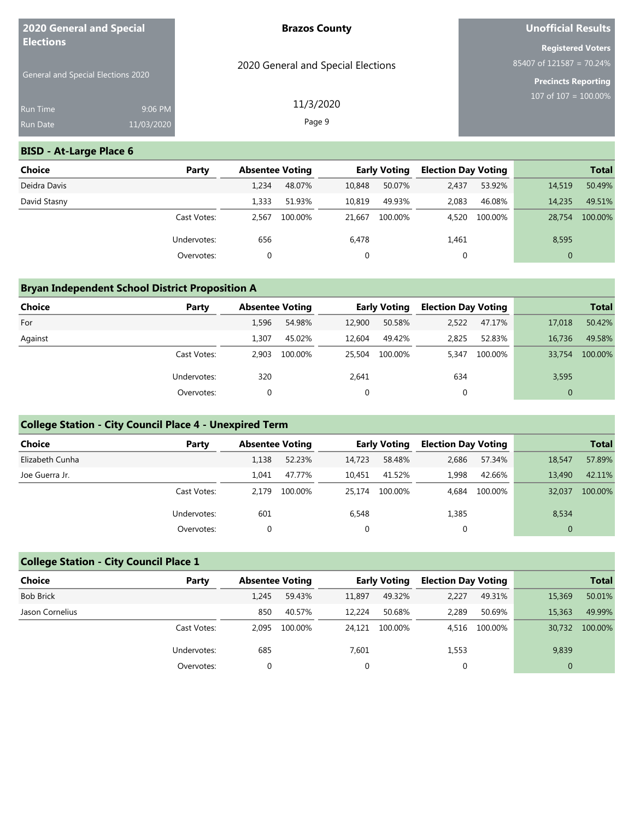| 2020 General and Special<br><b>Elections</b> |                                           | <b>Brazos County</b>               | Unofficial Results                                     |
|----------------------------------------------|-------------------------------------------|------------------------------------|--------------------------------------------------------|
|                                              |                                           | 2020 General and Special Elections | <b>Registered Voters</b><br>$85407$ of 121587 = 70.24% |
|                                              | <b>General and Special Elections 2020</b> |                                    | <b>Precincts Reporting</b><br>107 of $107 = 100.00\%$  |
| <b>Run Time</b>                              | 9:06 PM                                   | 11/3/2020                          |                                                        |
| <b>Run Date</b>                              | 11/03/2020                                | Page 9                             |                                                        |

### **BISD - At-Large Place 6**

| <b>Choice</b> | Party       | <b>Absentee Voting</b> |         |        | <b>Early Voting</b> | <b>Election Day Voting</b> |         |              | <b>Total</b> |
|---------------|-------------|------------------------|---------|--------|---------------------|----------------------------|---------|--------------|--------------|
| Deidra Davis  |             | 1,234                  | 48.07%  | 10,848 | 50.07%              | 2,437                      | 53.92%  | 14,519       | 50.49%       |
| David Stasny  |             | 1,333                  | 51.93%  | 10,819 | 49.93%              | 2,083                      | 46.08%  | 14,235       | 49.51%       |
|               | Cast Votes: | 2.567                  | 100.00% | 21.667 | 100.00%             | 4.520                      | 100.00% | 28.754       | 100.00%      |
|               | Undervotes: | 656                    |         | 6,478  |                     | 1,461                      |         | 8,595        |              |
|               | Overvotes:  | 0                      |         |        |                     | 0                          |         | $\mathbf{0}$ |              |

### **Bryan Independent School District Proposition A**

| <b>Choice</b> | Party       | <b>Absentee Voting</b> |         |             | <b>Early Voting</b> | <b>Election Day Voting</b> |         |              | <b>Total</b> |
|---------------|-------------|------------------------|---------|-------------|---------------------|----------------------------|---------|--------------|--------------|
| For           |             | 1,596                  | 54.98%  | 12,900      | 50.58%              | 2,522                      | 47.17%  | 17,018       | 50.42%       |
| Against       |             | 1,307                  | 45.02%  | 12,604      | 49.42%              | 2,825                      | 52.83%  | 16.736       | 49.58%       |
|               | Cast Votes: | 2.903                  | 100.00% | 25,504      | 100.00%             | 5.347                      | 100.00% | 33,754       | 100.00%      |
|               | Undervotes: | 320                    |         | 2,641       |                     | 634                        |         | 3,595        |              |
|               | Overvotes:  |                        |         | $\mathbf 0$ |                     | 0                          |         | $\mathbf{0}$ |              |

### **College Station - City Council Place 4 - Unexpired Term**

| <b>Choice</b>   | Party       | <b>Absentee Voting</b> |         |             | <b>Early Voting</b> | <b>Election Day Voting</b> |         |              | <b>Total</b> |
|-----------------|-------------|------------------------|---------|-------------|---------------------|----------------------------|---------|--------------|--------------|
| Elizabeth Cunha |             | 1,138                  | 52.23%  | 14.723      | 58.48%              | 2,686                      | 57.34%  | 18,547       | 57.89%       |
| Joe Guerra Jr.  |             | 1.041                  | 47.77%  | 10,451      | 41.52%              | 1.998                      | 42.66%  | 13,490       | 42.11%       |
|                 | Cast Votes: | 2.179                  | 100.00% | 25.174      | 100.00%             | 4.684                      | 100.00% | 32,037       | 100.00%      |
|                 | Undervotes: | 601                    |         | 6,548       |                     | 1,385                      |         | 8,534        |              |
|                 | Overvotes:  |                        |         | $\mathbf 0$ |                     | υ                          |         | $\mathbf{0}$ |              |

### **College Station - City Council Place 1**

| <b>Choice</b>    | Party       | <b>Absentee Voting</b> |         |        | <b>Early Voting</b> | <b>Election Day Voting</b> |         |              | <b>Total</b> |
|------------------|-------------|------------------------|---------|--------|---------------------|----------------------------|---------|--------------|--------------|
| <b>Bob Brick</b> |             | 1.245                  | 59.43%  | 11.897 | 49.32%              | 2,227                      | 49.31%  | 15,369       | 50.01%       |
| Jason Cornelius  |             | 850                    | 40.57%  | 12.224 | 50.68%              | 2.289                      | 50.69%  | 15,363       | 49.99%       |
|                  | Cast Votes: | 2.095                  | 100.00% | 24.121 | 100.00%             | 4.516                      | 100.00% | 30,732       | 100.00%      |
|                  | Undervotes: | 685                    |         | 7,601  |                     | 1,553                      |         | 9,839        |              |
|                  | Overvotes:  |                        |         | 0      |                     | 0                          |         | $\mathbf{0}$ |              |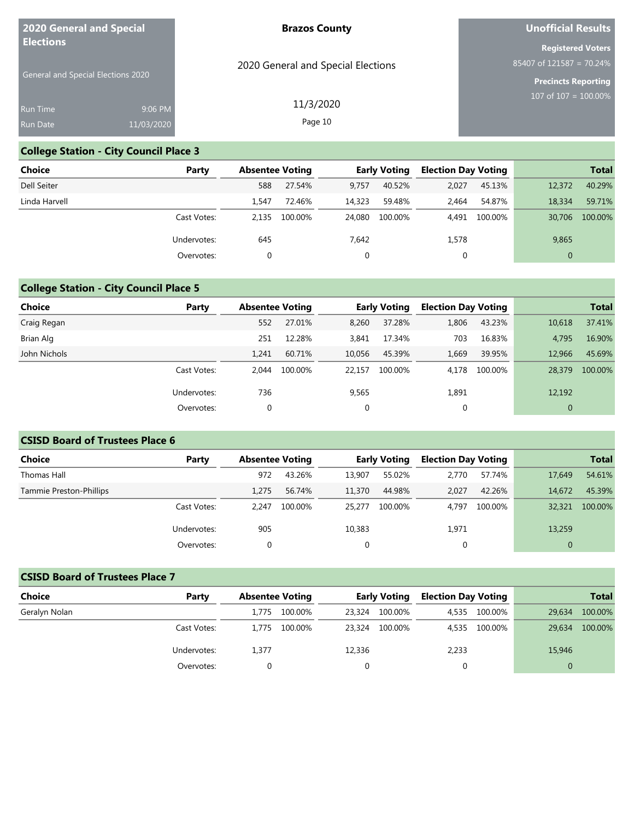| 2020 General and Special<br><b>Elections</b> |            | <b>Brazos County</b>               | Unofficial Results                                       |
|----------------------------------------------|------------|------------------------------------|----------------------------------------------------------|
|                                              |            |                                    | <b>Registered Voters</b>                                 |
| <b>General and Special Elections 2020</b>    |            | 2020 General and Special Elections | $85407$ of 121587 = 70.24%<br><b>Precincts Reporting</b> |
| <b>Run Time</b>                              | 9:06 PM    | 11/3/2020                          | 107 of $107 = 100.00\%$                                  |
| <b>Run Date</b>                              | 11/03/2020 | Page 10                            |                                                          |

### **College Station - City Council Place 3**

| Choice        | Party       | <b>Absentee Voting</b> |         |        | <b>Early Voting</b> | <b>Election Day Voting</b> |         |              | <b>Total</b> |
|---------------|-------------|------------------------|---------|--------|---------------------|----------------------------|---------|--------------|--------------|
| Dell Seiter   |             | 588                    | 27.54%  | 9.757  | 40.52%              | 2,027                      | 45.13%  | 12,372       | 40.29%       |
| Linda Harvell |             | 1.547                  | 72.46%  | 14,323 | 59.48%              | 2.464                      | 54.87%  | 18,334       | 59.71%       |
|               | Cast Votes: | 2.135                  | 100.00% | 24,080 | 100.00%             | 4.491                      | 100.00% | 30,706       | 100.00%      |
|               | Undervotes: | 645                    |         | 7,642  |                     | 1,578                      |         | 9,865        |              |
|               | Overvotes:  | 0                      |         |        |                     | 0                          |         | $\mathbf{0}$ |              |

# **College Station - City Council Place 5**

| <b>Choice</b> | Party       | <b>Absentee Voting</b> |         | <b>Early Voting</b> |         | <b>Election Day Voting</b> |         |              | <b>Total</b> |
|---------------|-------------|------------------------|---------|---------------------|---------|----------------------------|---------|--------------|--------------|
| Craig Regan   |             | 552                    | 27.01%  | 8,260               | 37.28%  | 1,806                      | 43.23%  | 10,618       | 37.41%       |
| Brian Alg     |             | 251                    | 12.28%  | 3,841               | 17.34%  | 703                        | 16.83%  | 4,795        | 16.90%       |
| John Nichols  |             | 1.241                  | 60.71%  | 10,056              | 45.39%  | 1,669                      | 39.95%  | 12,966       | 45.69%       |
|               | Cast Votes: | 2.044                  | 100.00% | 22.157              | 100.00% | 4.178                      | 100.00% | 28,379       | 100.00%      |
|               | Undervotes: | 736                    |         | 9,565               |         | 1,891                      |         | 12,192       |              |
|               | Overvotes:  | 0                      |         | $\mathbf 0$         |         | 0                          |         | $\mathbf{0}$ |              |

### **CSISD Board of Trustees Place 6**

| <b>Choice</b>           | Party       | <b>Absentee Voting</b> |         | <b>Early Voting</b> |         | <b>Election Day Voting</b> |         |              | <b>Total</b> |
|-------------------------|-------------|------------------------|---------|---------------------|---------|----------------------------|---------|--------------|--------------|
| Thomas Hall             |             | 972                    | 43.26%  | 13.907              | 55.02%  | 2.770                      | 57.74%  | 17,649       | 54.61%       |
| Tammie Preston-Phillips |             | 1.275                  | 56.74%  | 11,370              | 44.98%  | 2.027                      | 42.26%  | 14,672       | 45.39%       |
|                         | Cast Votes: | 2.247                  | 100.00% | 25.277              | 100.00% | 4.797                      | 100.00% | 32,321       | 100.00%      |
|                         | Undervotes: | 905                    |         | 10,383              |         | 1,971                      |         | 13,259       |              |
|                         | Overvotes:  | $\Omega$               |         | 0                   |         | 0                          |         | $\mathbf{0}$ |              |

## **CSISD Board of Trustees Place 7**

| <b>Choice</b> | Party       | <b>Absentee Voting</b> |         | <b>Early Voting</b> |         | <b>Election Day Voting</b> |               |          | <b>Total</b> |
|---------------|-------------|------------------------|---------|---------------------|---------|----------------------------|---------------|----------|--------------|
| Geralyn Nolan |             | 1.775                  | 100.00% | 23,324              | 100.00% |                            | 4.535 100.00% | 29.634   | 100.00%      |
|               | Cast Votes: | 1.775                  | 100.00% | 23,324              | 100.00% |                            | 4,535 100.00% | 29,634   | 100.00%      |
|               | Undervotes: | 1.377                  |         | 12,336              |         | 2,233                      |               | 15,946   |              |
|               | Overvotes:  |                        |         |                     |         | $\Omega$                   |               | $\Omega$ |              |